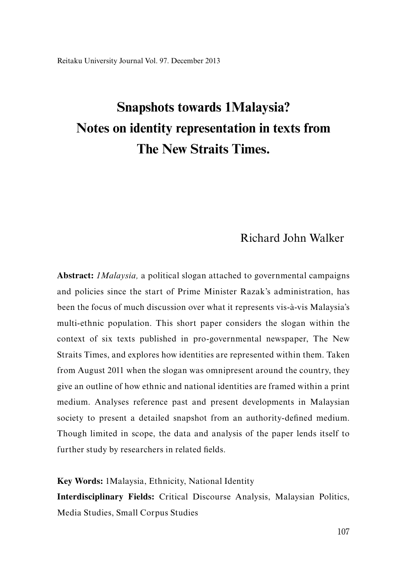# **Snapshots towards 1Malaysia? Notes on identity representation in texts from The New Straits Times.**

## Richard John Walker

**Abstract:** *1Malaysia,* a political slogan attached to governmental campaigns and policies since the start of Prime Minister Razak's administration, has been the focus of much discussion over what it represents vis-à-vis Malaysia's multi-ethnic population. This short paper considers the slogan within the context of six texts published in pro-governmental newspaper, The New Straits Times, and explores how identities are represented within them. Taken from August 2011 when the slogan was omnipresent around the country, they give an outline of how ethnic and national identities are framed within a print medium. Analyses reference past and present developments in Malaysian society to present a detailed snapshot from an authority-defined medium. Though limited in scope, the data and analysis of the paper lends itself to further study by researchers in related fields.

**Key Words:** 1Malaysia, Ethnicity, National Identity

**Interdisciplinary Fields:** Critical Discourse Analysis, Malaysian Politics, Media Studies, Small Corpus Studies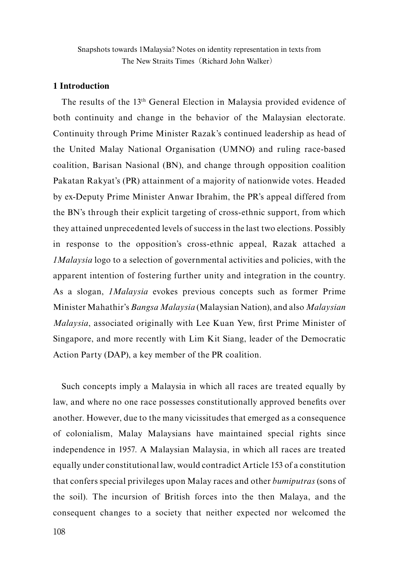#### **1 Introduction**

The results of the 13<sup>th</sup> General Election in Malaysia provided evidence of both continuity and change in the behavior of the Malaysian electorate. Continuity through Prime Minister Razak's continued leadership as head of the United Malay National Organisation (UMNO) and ruling race-based coalition, Barisan Nasional (BN), and change through opposition coalition Pakatan Rakyat's (PR) attainment of a majority of nationwide votes. Headed by ex-Deputy Prime Minister Anwar Ibrahim, the PR's appeal differed from the BN's through their explicit targeting of cross-ethnic support, from which they attained unprecedented levels of success in the last two elections. Possibly in response to the opposition's cross-ethnic appeal, Razak attached a *1Malaysia* logo to a selection of governmental activities and policies, with the apparent intention of fostering further unity and integration in the country. As a slogan, *1Malaysia* evokes previous concepts such as former Prime Minister Mahathir's *Bangsa Malaysia* (Malaysian Nation), and also *Malaysian Malaysia*, associated originally with Lee Kuan Yew, first Prime Minister of Singapore, and more recently with Lim Kit Siang, leader of the Democratic Action Party (DAP), a key member of the PR coalition.

Such concepts imply a Malaysia in which all races are treated equally by law, and where no one race possesses constitutionally approved benefits over another. However, due to the many vicissitudes that emerged as a consequence of colonialism, Malay Malaysians have maintained special rights since independence in 1957. A Malaysian Malaysia, in which all races are treated equally under constitutional law, would contradict Article 153 of a constitution that confers special privileges upon Malay races and other *bumiputras* (sons of the soil). The incursion of British forces into the then Malaya, and the consequent changes to a society that neither expected nor welcomed the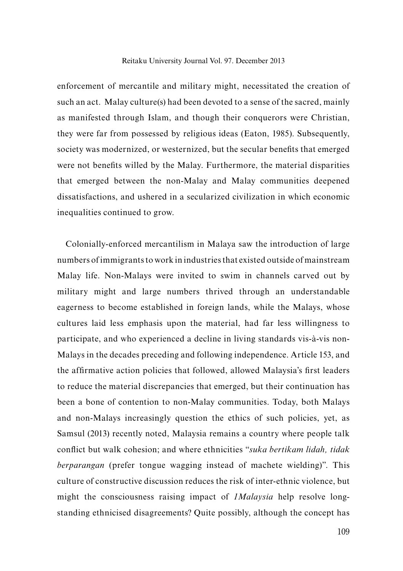enforcement of mercantile and military might, necessitated the creation of such an act. Malay culture(s) had been devoted to a sense of the sacred, mainly as manifested through Islam, and though their conquerors were Christian, they were far from possessed by religious ideas (Eaton, 1985). Subsequently, society was modernized, or westernized, but the secular benefits that emerged were not benefits willed by the Malay. Furthermore, the material disparities that emerged between the non-Malay and Malay communities deepened dissatisfactions, and ushered in a secularized civilization in which economic inequalities continued to grow.

Colonially-enforced mercantilism in Malaya saw the introduction of large numbers of immigrants to work in industries that existed outside of mainstream Malay life. Non-Malays were invited to swim in channels carved out by military might and large numbers thrived through an understandable eagerness to become established in foreign lands, while the Malays, whose cultures laid less emphasis upon the material, had far less willingness to participate, and who experienced a decline in living standards vis-à-vis non-Malays in the decades preceding and following independence. Article 153, and the affirmative action policies that followed, allowed Malaysia's first leaders to reduce the material discrepancies that emerged, but their continuation has been a bone of contention to non-Malay communities. Today, both Malays and non-Malays increasingly question the ethics of such policies, yet, as Samsul (2013) recently noted, Malaysia remains a country where people talk conflict but walk cohesion; and where ethnicities "*suka bertikam lidah, tidak berparangan* (prefer tongue wagging instead of machete wielding)". This culture of constructive discussion reduces the risk of inter-ethnic violence, but might the consciousness raising impact of *1Malaysia* help resolve longstanding ethnicised disagreements? Quite possibly, although the concept has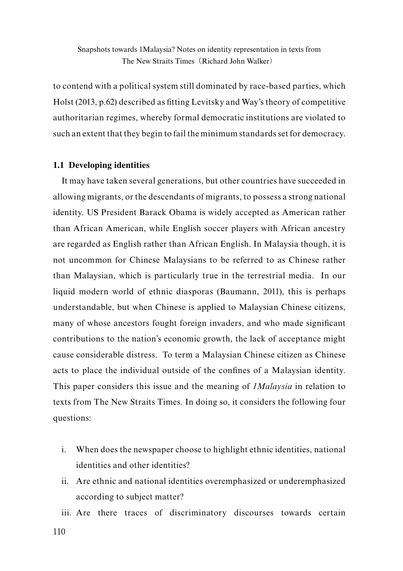to contend with a political system still dominated by race-based parties, which Holst (2013, p.62) described as fitting Levitsky and Way's theory of competitive authoritarian regimes, whereby formal democratic institutions are violated to such an extent that they begin to fail the minimum standards set for democracy.

## **1.1 Developing identities**

It may have taken several generations, but other countries have succeeded in allowing migrants, or the descendants of migrants, to possess a strong national identity. US President Barack Obama is widely accepted as American rather than African American, while English soccer players with African ancestry are regarded as English rather than African English. In Malaysia though, it is not uncommon for Chinese Malaysians to be referred to as Chinese rather than Malaysian, which is particularly true in the terrestrial media. In our liquid modern world of ethnic diasporas (Baumann, 2011), this is perhaps understandable, but when Chinese is applied to Malaysian Chinese citizens, many of whose ancestors fought foreign invaders, and who made significant contributions to the nation's economic growth, the lack of acceptance might cause considerable distress. To term a Malaysian Chinese citizen as Chinese acts to place the individual outside of the confines of a Malaysian identity. This paper considers this issue and the meaning of *1Malaysia* in relation to texts from The New Straits Times. In doing so, it considers the following four questions:

- i. When does the newspaper choose to highlight ethnic identities, national identities and other identities?
- ii. Are ethnic and national identities overemphasized or underemphasized according to subject matter?

iii. Are there traces of discriminatory discourses towards certain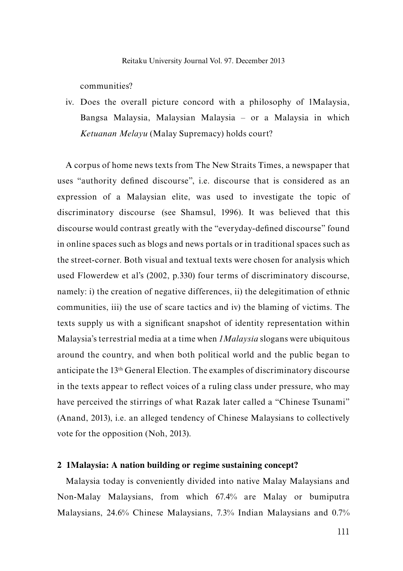communities?

iv. Does the overall picture concord with a philosophy of 1Malaysia, Bangsa Malaysia, Malaysian Malaysia – or a Malaysia in which *Ketuanan Melayu* (Malay Supremacy) holds court?

A corpus of home news texts from The New Straits Times, a newspaper that uses "authority defined discourse", i.e. discourse that is considered as an expression of a Malaysian elite, was used to investigate the topic of discriminatory discourse (see Shamsul, 1996). It was believed that this discourse would contrast greatly with the "everyday-defined discourse" found in online spaces such as blogs and news portals or in traditional spaces such as the street-corner. Both visual and textual texts were chosen for analysis which used Flowerdew et al's (2002, p.330) four terms of discriminatory discourse, namely: i) the creation of negative differences, ii) the delegitimation of ethnic communities, iii) the use of scare tactics and iv) the blaming of victims. The texts supply us with a significant snapshot of identity representation within Malaysia's terrestrial media at a time when *1Malaysia* slogans were ubiquitous around the country, and when both political world and the public began to anticipate the 13th General Election. The examples of discriminatory discourse in the texts appear to reflect voices of a ruling class under pressure, who may have perceived the stirrings of what Razak later called a "Chinese Tsunami" (Anand, 2013), i.e. an alleged tendency of Chinese Malaysians to collectively vote for the opposition (Noh, 2013).

#### **2 1Malaysia: A nation building or regime sustaining concept?**

Malaysia today is conveniently divided into native Malay Malaysians and Non-Malay Malaysians, from which 67.4% are Malay or bumiputra Malaysians, 24.6% Chinese Malaysians, 7.3% Indian Malaysians and 0.7%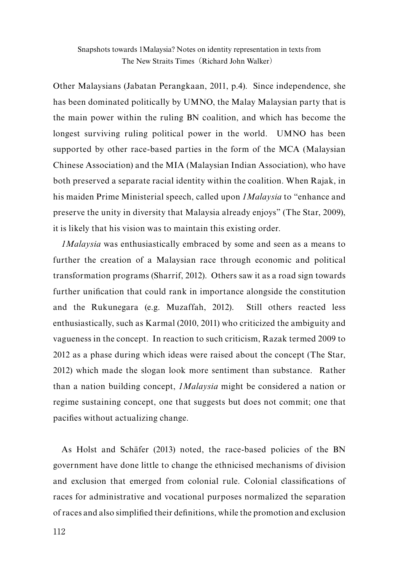Other Malaysians (Jabatan Perangkaan, 2011, p.4). Since independence, she has been dominated politically by UMNO, the Malay Malaysian party that is the main power within the ruling BN coalition, and which has become the longest surviving ruling political power in the world. UMNO has been supported by other race-based parties in the form of the MCA (Malaysian Chinese Association) and the MIA (Malaysian Indian Association), who have both preserved a separate racial identity within the coalition. When Rajak, in his maiden Prime Ministerial speech, called upon *1Malaysia* to "enhance and preserve the unity in diversity that Malaysia already enjoys" (The Star, 2009), it is likely that his vision was to maintain this existing order.

*1Malaysia* was enthusiastically embraced by some and seen as a means to further the creation of a Malaysian race through economic and political transformation programs (Sharrif, 2012). Others saw it as a road sign towards further unification that could rank in importance alongside the constitution and the Rukunegara (e.g. Muzaffah, 2012). Still others reacted less enthusiastically, such as Karmal (2010, 2011) who criticized the ambiguity and vagueness in the concept. In reaction to such criticism, Razak termed 2009 to 2012 as a phase during which ideas were raised about the concept (The Star, 2012) which made the slogan look more sentiment than substance. Rather than a nation building concept, *1Malaysia* might be considered a nation or regime sustaining concept, one that suggests but does not commit; one that pacifies without actualizing change.

As Holst and Schäfer (2013) noted, the race-based policies of the BN government have done little to change the ethnicised mechanisms of division and exclusion that emerged from colonial rule. Colonial classifications of races for administrative and vocational purposes normalized the separation of races and also simplified their definitions, while the promotion and exclusion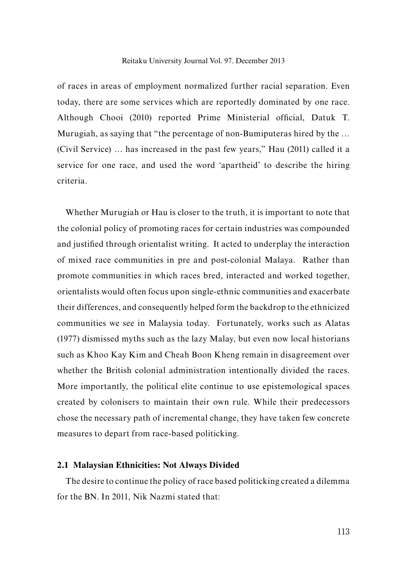of races in areas of employment normalized further racial separation. Even today, there are some services which are reportedly dominated by one race. Although Chooi (2010) reported Prime Ministerial official, Datuk T. Murugiah, as saying that "the percentage of non-Bumiputeras hired by the … (Civil Service) … has increased in the past few years," Hau (2011) called it a service for one race, and used the word 'apartheid' to describe the hiring criteria.

Whether Murugiah or Hau is closer to the truth, it is important to note that the colonial policy of promoting races for certain industries was compounded and justified through orientalist writing. It acted to underplay the interaction of mixed race communities in pre and post-colonial Malaya. Rather than promote communities in which races bred, interacted and worked together, orientalists would often focus upon single-ethnic communities and exacerbate their differences, and consequently helped form the backdrop to the ethnicized communities we see in Malaysia today. Fortunately, works such as Alatas (1977) dismissed myths such as the lazy Malay, but even now local historians such as Khoo Kay Kim and Cheah Boon Kheng remain in disagreement over whether the British colonial administration intentionally divided the races. More importantly, the political elite continue to use epistemological spaces created by colonisers to maintain their own rule. While their predecessors chose the necessary path of incremental change, they have taken few concrete measures to depart from race-based politicking.

## **2.1 Malaysian Ethnicities: Not Always Divided**

The desire to continue the policy of race based politicking created a dilemma for the BN. In 2011, Nik Nazmi stated that: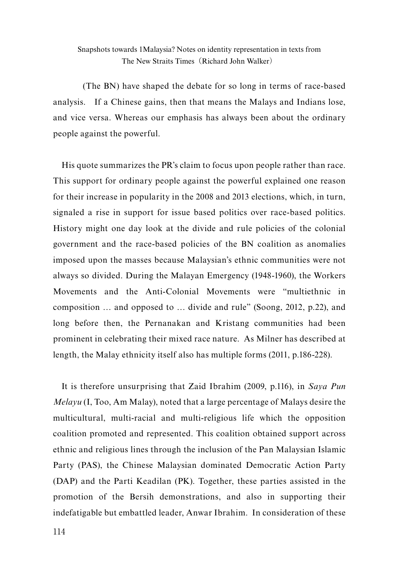(The BN) have shaped the debate for so long in terms of race-based analysis. If a Chinese gains, then that means the Malays and Indians lose, and vice versa. Whereas our emphasis has always been about the ordinary people against the powerful.

His quote summarizes the PR's claim to focus upon people rather than race. This support for ordinary people against the powerful explained one reason for their increase in popularity in the 2008 and 2013 elections, which, in turn, signaled a rise in support for issue based politics over race-based politics. History might one day look at the divide and rule policies of the colonial government and the race-based policies of the BN coalition as anomalies imposed upon the masses because Malaysian's ethnic communities were not always so divided. During the Malayan Emergency (1948-1960), the Workers Movements and the Anti-Colonial Movements were "multiethnic in composition … and opposed to … divide and rule" (Soong, 2012, p.22), and long before then, the Pernanakan and Kristang communities had been prominent in celebrating their mixed race nature. As Milner has described at length, the Malay ethnicity itself also has multiple forms (2011, p.186-228).

It is therefore unsurprising that Zaid Ibrahim (2009, p.116), in *Saya Pun Melayu* (I, Too, Am Malay), noted that a large percentage of Malays desire the multicultural, multi-racial and multi-religious life which the opposition coalition promoted and represented. This coalition obtained support across ethnic and religious lines through the inclusion of the Pan Malaysian Islamic Party (PAS), the Chinese Malaysian dominated Democratic Action Party (DAP) and the Parti Keadilan (PK). Together, these parties assisted in the promotion of the Bersih demonstrations, and also in supporting their indefatigable but embattled leader, Anwar Ibrahim. In consideration of these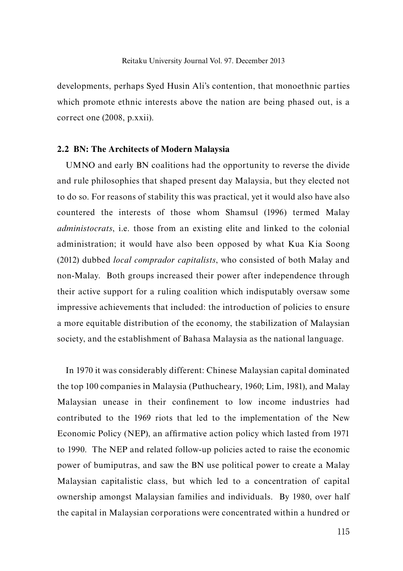developments, perhaps Syed Husin Ali's contention, that monoethnic parties which promote ethnic interests above the nation are being phased out, is a correct one (2008, p.xxii).

#### **2.2 BN: The Architects of Modern Malaysia**

UMNO and early BN coalitions had the opportunity to reverse the divide and rule philosophies that shaped present day Malaysia, but they elected not to do so. For reasons of stability this was practical, yet it would also have also countered the interests of those whom Shamsul (1996) termed Malay *administocrats*, i.e. those from an existing elite and linked to the colonial administration; it would have also been opposed by what Kua Kia Soong (2012) dubbed *local comprador capitalists*, who consisted of both Malay and non-Malay. Both groups increased their power after independence through their active support for a ruling coalition which indisputably oversaw some impressive achievements that included: the introduction of policies to ensure a more equitable distribution of the economy, the stabilization of Malaysian society, and the establishment of Bahasa Malaysia as the national language.

In 1970 it was considerably different: Chinese Malaysian capital dominated the top 100 companies in Malaysia (Puthucheary, 1960; Lim, 1981), and Malay Malaysian unease in their confinement to low income industries had contributed to the 1969 riots that led to the implementation of the New Economic Policy (NEP), an affirmative action policy which lasted from 1971 to 1990. The NEP and related follow-up policies acted to raise the economic power of bumiputras, and saw the BN use political power to create a Malay Malaysian capitalistic class, but which led to a concentration of capital ownership amongst Malaysian families and individuals. By 1980, over half the capital in Malaysian corporations were concentrated within a hundred or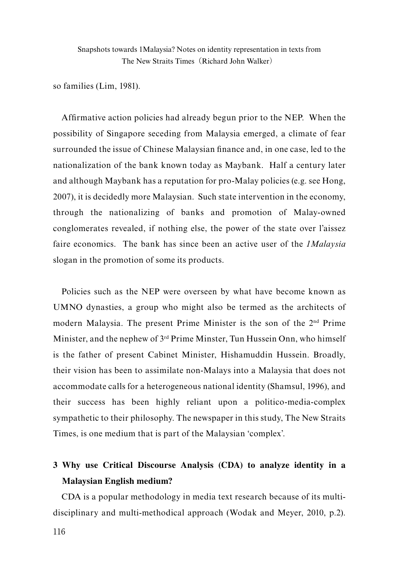so families (Lim, 1981).

Affirmative action policies had already begun prior to the NEP. When the possibility of Singapore seceding from Malaysia emerged, a climate of fear surrounded the issue of Chinese Malaysian finance and, in one case, led to the nationalization of the bank known today as Maybank. Half a century later and although Maybank has a reputation for pro-Malay policies (e.g. see Hong, 2007), it is decidedly more Malaysian. Such state intervention in the economy, through the nationalizing of banks and promotion of Malay-owned conglomerates revealed, if nothing else, the power of the state over l'aissez faire economics. The bank has since been an active user of the *1Malaysia* slogan in the promotion of some its products.

Policies such as the NEP were overseen by what have become known as UMNO dynasties, a group who might also be termed as the architects of modern Malaysia. The present Prime Minister is the son of the 2nd Prime Minister, and the nephew of 3rd Prime Minster, Tun Hussein Onn, who himself is the father of present Cabinet Minister, Hishamuddin Hussein. Broadly, their vision has been to assimilate non-Malays into a Malaysia that does not accommodate calls for a heterogeneous national identity (Shamsul, 1996), and their success has been highly reliant upon a politico-media-complex sympathetic to their philosophy. The newspaper in this study, The New Straits Times, is one medium that is part of the Malaysian 'complex'.

# **3 Why use Critical Discourse Analysis (CDA) to analyze identity in a Malaysian English medium?**

CDA is a popular methodology in media text research because of its multidisciplinary and multi-methodical approach (Wodak and Meyer, 2010, p.2).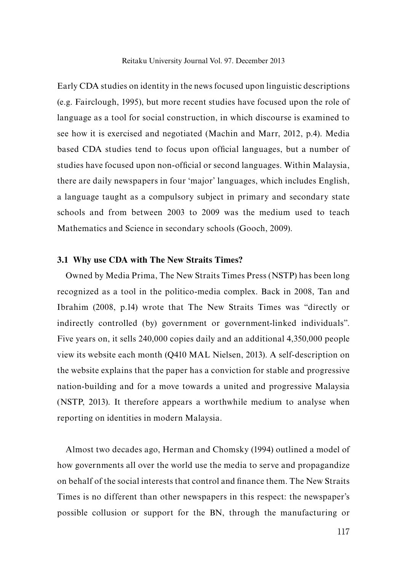Reitaku University Journal Vol. 97. December 2013

Early CDA studies on identity in the news focused upon linguistic descriptions (e.g. Fairclough, 1995), but more recent studies have focused upon the role of language as a tool for social construction, in which discourse is examined to see how it is exercised and negotiated (Machin and Marr, 2012, p.4). Media based CDA studies tend to focus upon official languages, but a number of studies have focused upon non-official or second languages. Within Malaysia, there are daily newspapers in four 'major' languages, which includes English, a language taught as a compulsory subject in primary and secondary state schools and from between 2003 to 2009 was the medium used to teach Mathematics and Science in secondary schools (Gooch, 2009).

### **3.1 Why use CDA with The New Straits Times?**

Owned by Media Prima, The New Straits Times Press (NSTP) has been long recognized as a tool in the politico-media complex. Back in 2008, Tan and Ibrahim (2008, p.14) wrote that The New Straits Times was "directly or indirectly controlled (by) government or government-linked individuals". Five years on, it sells 240,000 copies daily and an additional 4,350,000 people view its website each month (Q410 MAL Nielsen, 2013). A self-description on the website explains that the paper has a conviction for stable and progressive nation-building and for a move towards a united and progressive Malaysia (NSTP, 2013). It therefore appears a worthwhile medium to analyse when reporting on identities in modern Malaysia.

Almost two decades ago, Herman and Chomsky (1994) outlined a model of how governments all over the world use the media to serve and propagandize on behalf of the social interests that control and finance them. The New Straits Times is no different than other newspapers in this respect: the newspaper's possible collusion or support for the BN, through the manufacturing or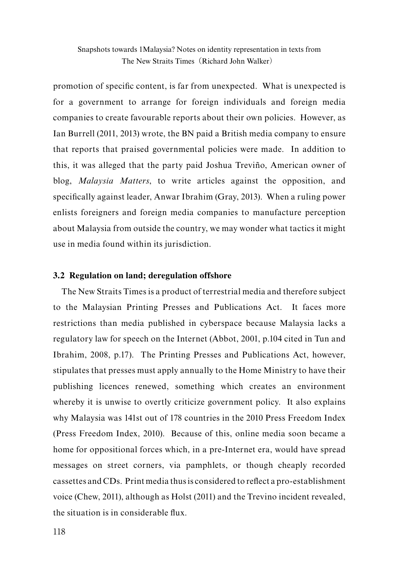promotion of specific content, is far from unexpected. What is unexpected is for a government to arrange for foreign individuals and foreign media companies to create favourable reports about their own policies. However, as Ian Burrell (2011, 2013) wrote, the BN paid a British media company to ensure that reports that praised governmental policies were made. In addition to this, it was alleged that the party paid Joshua Treviño, American owner of blog, *Malaysia Matters*, to write articles against the opposition, and specifically against leader, Anwar Ibrahim (Gray, 2013). When a ruling power enlists foreigners and foreign media companies to manufacture perception about Malaysia from outside the country, we may wonder what tactics it might use in media found within its jurisdiction.

## **3.2 Regulation on land; deregulation offshore**

The New Straits Times is a product of terrestrial media and therefore subject to the Malaysian Printing Presses and Publications Act. It faces more restrictions than media published in cyberspace because Malaysia lacks a regulatory law for speech on the Internet (Abbot, 2001, p.104 cited in Tun and Ibrahim, 2008, p.17). The Printing Presses and Publications Act, however, stipulates that presses must apply annually to the Home Ministry to have their publishing licences renewed, something which creates an environment whereby it is unwise to overtly criticize government policy. It also explains why Malaysia was 141st out of 178 countries in the 2010 Press Freedom Index (Press Freedom Index, 2010). Because of this, online media soon became a home for oppositional forces which, in a pre-Internet era, would have spread messages on street corners, via pamphlets, or though cheaply recorded cassettes and CDs. Print media thus is considered to reflect a pro-establishment voice (Chew, 2011), although as Holst (2011) and the Trevino incident revealed, the situation is in considerable flux.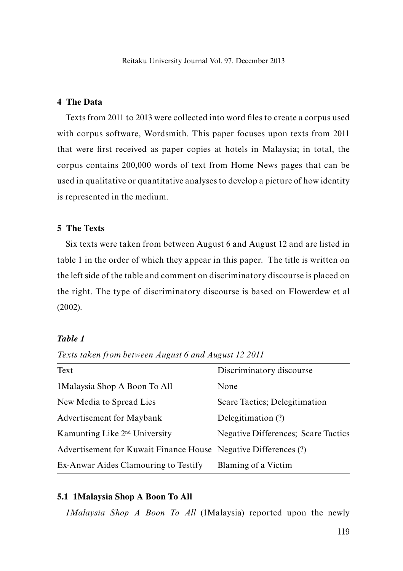## **4 The Data**

Texts from 2011 to 2013 were collected into word files to create a corpus used with corpus software, Wordsmith. This paper focuses upon texts from 2011 that were first received as paper copies at hotels in Malaysia; in total, the corpus contains 200,000 words of text from Home News pages that can be used in qualitative or quantitative analyses to develop a picture of how identity is represented in the medium.

## **5 The Texts**

Six texts were taken from between August 6 and August 12 and are listed in table 1 in the order of which they appear in this paper. The title is written on the left side of the table and comment on discriminatory discourse is placed on the right. The type of discriminatory discourse is based on Flowerdew et al (2002).

## *Table 1*

| Text                                                            | Discriminatory discourse                    |
|-----------------------------------------------------------------|---------------------------------------------|
| 1 Malaysia Shop A Boon To All                                   | None                                        |
| New Media to Spread Lies                                        | Scare Tactics; Delegitimation               |
| Advertisement for Maybank                                       | Delegitimation (?)                          |
| Kamunting Like 2 <sup>nd</sup> University                       | <b>Negative Differences</b> ; Scare Tactics |
| Advertisement for Kuwait Finance House Negative Differences (?) |                                             |
| Ex-Anwar Aides Clamouring to Testify                            | Blaming of a Victim                         |

*Texts taken from between August 6 and August 12 2011*

#### **5.1 1Malaysia Shop A Boon To All**

*1Malaysia Shop A Boon To All* (1Malaysia) reported upon the newly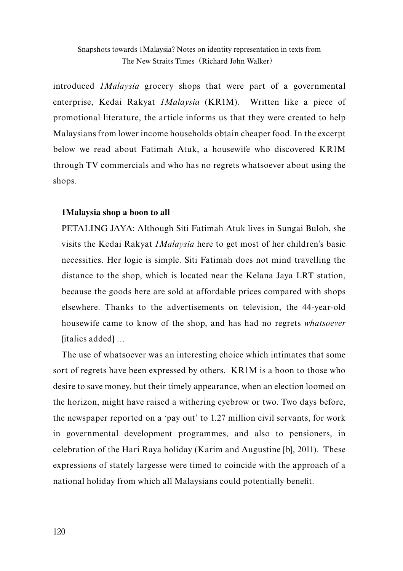introduced *1Malaysia* grocery shops that were part of a governmental enterprise, Kedai Rakyat *1Malaysia* (KR1M). Written like a piece of promotional literature, the article informs us that they were created to help Malaysians from lower income households obtain cheaper food. In the excerpt below we read about Fatimah Atuk, a housewife who discovered KR1M through TV commercials and who has no regrets whatsoever about using the shops.

## **1Malaysia shop a boon to all**

PETALING JAYA: Although Siti Fatimah Atuk lives in Sungai Buloh, she visits the Kedai Rakyat *1Malaysia* here to get most of her children's basic necessities. Her logic is simple. Siti Fatimah does not mind travelling the distance to the shop, which is located near the Kelana Jaya LRT station, because the goods here are sold at affordable prices compared with shops elsewhere. Thanks to the advertisements on television, the 44-year-old housewife came to know of the shop, and has had no regrets *whatsoever*  [italics added] …

The use of whatsoever was an interesting choice which intimates that some sort of regrets have been expressed by others. KR1M is a boon to those who desire to save money, but their timely appearance, when an election loomed on the horizon, might have raised a withering eyebrow or two. Two days before, the newspaper reported on a 'pay out' to 1.27 million civil servants, for work in governmental development programmes, and also to pensioners, in celebration of the Hari Raya holiday (Karim and Augustine [b], 2011). These expressions of stately largesse were timed to coincide with the approach of a national holiday from which all Malaysians could potentially benefit.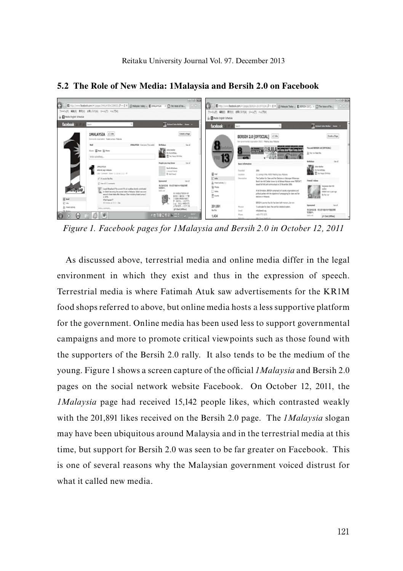

#### **5.2 The Role of New Media: 1Malaysia and Bersih 2.0 on Facebook**

*Figure 1. Facebook pages for 1Malaysia and Bersih 2.0 in October 12, 2011*

As discussed above, terrestrial media and online media differ in the legal environment in which they exist and thus in the expression of speech. Terrestrial media is where Fatimah Atuk saw advertisements for the KR1M food shops referred to above, but online media hosts a less supportive platform for the government. Online media has been used less to support governmental campaigns and more to promote critical viewpoints such as those found with the supporters of the Bersih 2.0 rally. It also tends to be the medium of the young. Figure 1 shows a screen capture of the official *1Malaysia* and Bersih 2.0 pages on the social network website Facebook. On October 12, 2011, the *1Malaysia* page had received 15,142 people likes, which contrasted weakly with the 201,891 likes received on the Bersih 2.0 page. The *1Malaysia* slogan may have been ubiquitous around Malaysia and in the terrestrial media at this time, but support for Bersih 2.0 was seen to be far greater on Facebook. This is one of several reasons why the Malaysian government voiced distrust for what it called new media.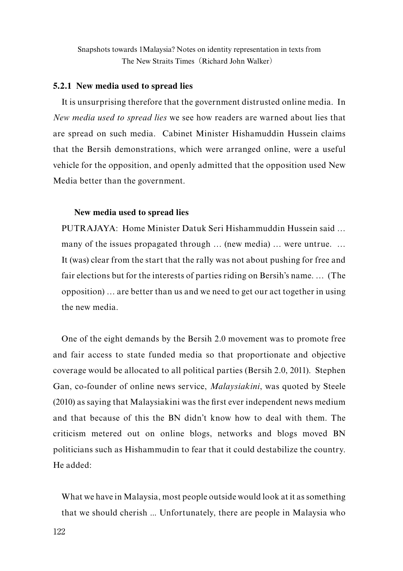#### **5.2.1 New media used to spread lies**

It is unsurprising therefore that the government distrusted online media. In *New media used to spread lies* we see how readers are warned about lies that are spread on such media. Cabinet Minister Hishamuddin Hussein claims that the Bersih demonstrations, which were arranged online, were a useful vehicle for the opposition, and openly admitted that the opposition used New Media better than the government.

#### **New media used to spread lies**

PUTRAJAYA: Home Minister Datuk Seri Hishammuddin Hussein said … many of the issues propagated through ... (new media) ... were untrue. ... It (was) clear from the start that the rally was not about pushing for free and fair elections but for the interests of parties riding on Bersih's name. … (The opposition) … are better than us and we need to get our act together in using the new media.

One of the eight demands by the Bersih 2.0 movement was to promote free and fair access to state funded media so that proportionate and objective coverage would be allocated to all political parties (Bersih 2.0, 2011). Stephen Gan, co-founder of online news service, *Malaysiakini*, was quoted by Steele (2010) as saying that Malaysiakini was the first ever independent news medium and that because of this the BN didn't know how to deal with them. The criticism metered out on online blogs, networks and blogs moved BN politicians such as Hishammudin to fear that it could destabilize the country. He added:

What we have in Malaysia, most people outside would look at it as something that we should cherish ... Unfortunately, there are people in Malaysia who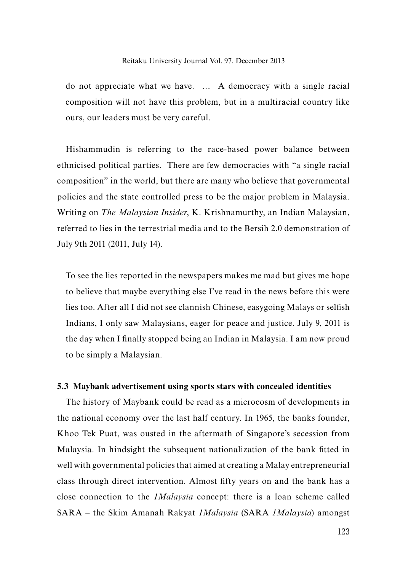do not appreciate what we have. … A democracy with a single racial composition will not have this problem, but in a multiracial country like ours, our leaders must be very careful.

Hishammudin is referring to the race-based power balance between ethnicised political parties. There are few democracies with "a single racial composition" in the world, but there are many who believe that governmental policies and the state controlled press to be the major problem in Malaysia. Writing on *The Malaysian Insider*, K. Krishnamurthy, an Indian Malaysian, referred to lies in the terrestrial media and to the Bersih 2.0 demonstration of July 9th 2011 (2011, July 14).

To see the lies reported in the newspapers makes me mad but gives me hope to believe that maybe everything else I've read in the news before this were lies too. After all I did not see clannish Chinese, easygoing Malays or selfish Indians, I only saw Malaysians, eager for peace and justice. July 9, 2011 is the day when I finally stopped being an Indian in Malaysia. I am now proud to be simply a Malaysian.

## **5.3 Maybank advertisement using sports stars with concealed identities**

The history of Maybank could be read as a microcosm of developments in the national economy over the last half century. In 1965, the banks founder, Khoo Tek Puat, was ousted in the aftermath of Singapore's secession from Malaysia. In hindsight the subsequent nationalization of the bank fitted in well with governmental policies that aimed at creating a Malay entrepreneurial class through direct intervention. Almost fifty years on and the bank has a close connection to the *1Malaysia* concept: there is a loan scheme called SARA – the Skim Amanah Rakyat *1Malaysia* (SARA *1Malaysia*) amongst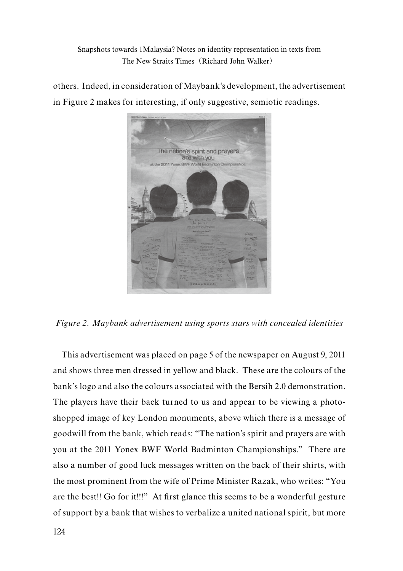others. Indeed, in consideration of Maybank's development, the advertisement in Figure 2 makes for interesting, if only suggestive, semiotic readings.



*Figure 2. Maybank advertisement using sports stars with concealed identities*

This advertisement was placed on page 5 of the newspaper on August 9, 2011 and shows three men dressed in yellow and black. These are the colours of the bank's logo and also the colours associated with the Bersih 2.0 demonstration. The players have their back turned to us and appear to be viewing a photoshopped image of key London monuments, above which there is a message of goodwill from the bank, which reads: "The nation's spirit and prayers are with you at the 2011 Yonex BWF World Badminton Championships." There are also a number of good luck messages written on the back of their shirts, with the most prominent from the wife of Prime Minister Razak, who writes: "You are the best!! Go for it!!!" At first glance this seems to be a wonderful gesture of support by a bank that wishes to verbalize a united national spirit, but more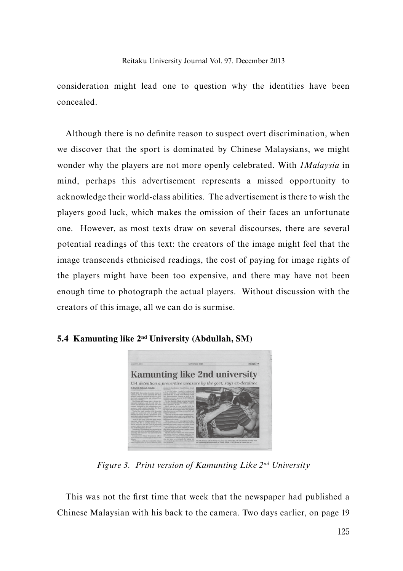consideration might lead one to question why the identities have been concealed.

Although there is no definite reason to suspect overt discrimination, when we discover that the sport is dominated by Chinese Malaysians, we might wonder why the players are not more openly celebrated. With *1Malaysia* in mind, perhaps this advertisement represents a missed opportunity to acknowledge their world-class abilities. The advertisement is there to wish the players good luck, which makes the omission of their faces an unfortunate one. However, as most texts draw on several discourses, there are several potential readings of this text: the creators of the image might feel that the image transcends ethnicised readings, the cost of paying for image rights of the players might have been too expensive, and there may have not been enough time to photograph the actual players. Without discussion with the creators of this image, all we can do is surmise.



**5.4 Kamunting like 2nd University (Abdullah, SM)**

*Figure 3. Print version of Kamunting Like 2nd University*

This was not the first time that week that the newspaper had published a Chinese Malaysian with his back to the camera. Two days earlier, on page 19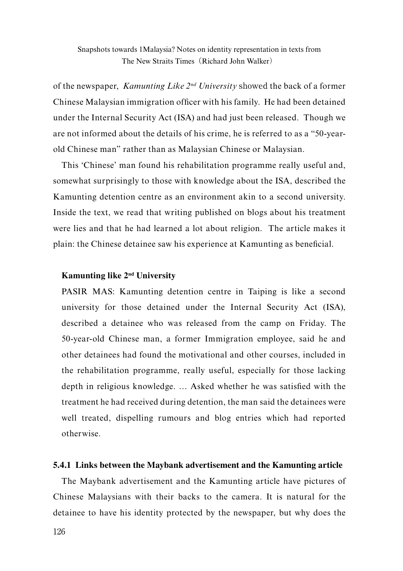of the newspaper, *Kamunting Like 2nd University* showed the back of a former Chinese Malaysian immigration officer with his family. He had been detained under the Internal Security Act (ISA) and had just been released. Though we are not informed about the details of his crime, he is referred to as a "50-yearold Chinese man" rather than as Malaysian Chinese or Malaysian.

This 'Chinese' man found his rehabilitation programme really useful and, somewhat surprisingly to those with knowledge about the ISA, described the Kamunting detention centre as an environment akin to a second university. Inside the text, we read that writing published on blogs about his treatment were lies and that he had learned a lot about religion. The article makes it plain: the Chinese detainee saw his experience at Kamunting as beneficial.

## **Kamunting like 2nd University**

PASIR MAS: Kamunting detention centre in Taiping is like a second university for those detained under the Internal Security Act (ISA), described a detainee who was released from the camp on Friday. The 50-year-old Chinese man, a former Immigration employee, said he and other detainees had found the motivational and other courses, included in the rehabilitation programme, really useful, especially for those lacking depth in religious knowledge. … Asked whether he was satisfied with the treatment he had received during detention, the man said the detainees were well treated, dispelling rumours and blog entries which had reported otherwise.

## **5.4.1 Links between the Maybank advertisement and the Kamunting article**

The Maybank advertisement and the Kamunting article have pictures of Chinese Malaysians with their backs to the camera. It is natural for the detainee to have his identity protected by the newspaper, but why does the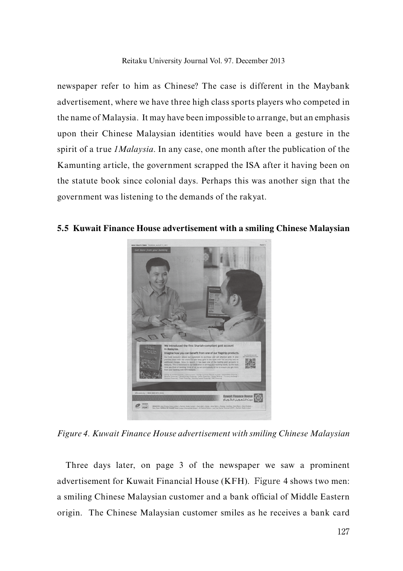newspaper refer to him as Chinese? The case is different in the Maybank advertisement, where we have three high class sports players who competed in the name of Malaysia. It may have been impossible to arrange, but an emphasis upon their Chinese Malaysian identities would have been a gesture in the spirit of a true *1Malaysia*. In any case, one month after the publication of the Kamunting article, the government scrapped the ISA after it having been on the statute book since colonial days. Perhaps this was another sign that the government was listening to the demands of the rakyat.



**5.5 Kuwait Finance House advertisement with a smiling Chinese Malaysian**

*Figure 4. Kuwait Finance House advertisement with smiling Chinese Malaysian*

Three days later, on page 3 of the newspaper we saw a prominent advertisement for Kuwait Financial House (KFH). Figure 4 shows two men: a smiling Chinese Malaysian customer and a bank official of Middle Eastern origin. The Chinese Malaysian customer smiles as he receives a bank card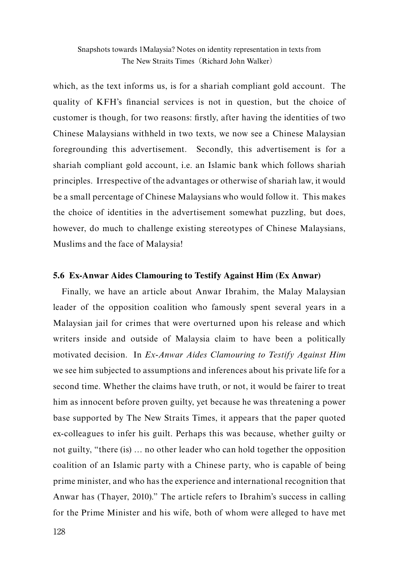which, as the text informs us, is for a shariah compliant gold account. The quality of KFH's financial services is not in question, but the choice of customer is though, for two reasons: firstly, after having the identities of two Chinese Malaysians withheld in two texts, we now see a Chinese Malaysian foregrounding this advertisement. Secondly, this advertisement is for a shariah compliant gold account, i.e. an Islamic bank which follows shariah principles. Irrespective of the advantages or otherwise of shariah law, it would be a small percentage of Chinese Malaysians who would follow it. This makes the choice of identities in the advertisement somewhat puzzling, but does, however, do much to challenge existing stereotypes of Chinese Malaysians, Muslims and the face of Malaysia!

## **5.6 Ex-Anwar Aides Clamouring to Testify Against Him (Ex Anwar)**

Finally, we have an article about Anwar Ibrahim, the Malay Malaysian leader of the opposition coalition who famously spent several years in a Malaysian jail for crimes that were overturned upon his release and which writers inside and outside of Malaysia claim to have been a politically motivated decision. In *Ex-Anwar Aides Clamouring to Testify Against Him*  we see him subjected to assumptions and inferences about his private life for a second time. Whether the claims have truth, or not, it would be fairer to treat him as innocent before proven guilty, yet because he was threatening a power base supported by The New Straits Times, it appears that the paper quoted ex-colleagues to infer his guilt. Perhaps this was because, whether guilty or not guilty, "there (is) … no other leader who can hold together the opposition coalition of an Islamic party with a Chinese party, who is capable of being prime minister, and who has the experience and international recognition that Anwar has (Thayer, 2010)." The article refers to Ibrahim's success in calling for the Prime Minister and his wife, both of whom were alleged to have met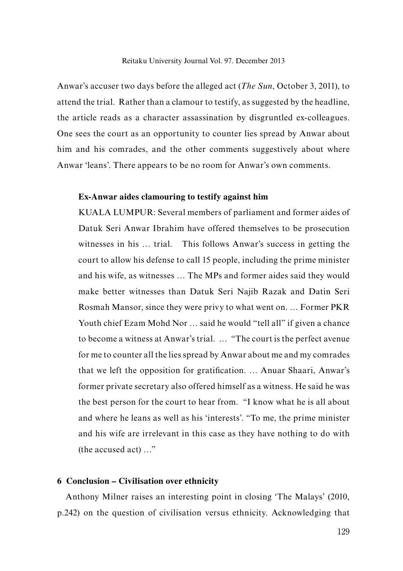Anwar's accuser two days before the alleged act (*The Sun*, October 3, 2011), to attend the trial. Rather than a clamour to testify, as suggested by the headline, the article reads as a character assassination by disgruntled ex-colleagues. One sees the court as an opportunity to counter lies spread by Anwar about him and his comrades, and the other comments suggestively about where Anwar 'leans'. There appears to be no room for Anwar's own comments.

#### **Ex-Anwar aides clamouring to testify against him**

KUALA LUMPUR: Several members of parliament and former aides of Datuk Seri Anwar Ibrahim have offered themselves to be prosecution witnesses in his … trial. This follows Anwar's success in getting the court to allow his defense to call 15 people, including the prime minister and his wife, as witnesses … The MPs and former aides said they would make better witnesses than Datuk Seri Najib Razak and Datin Seri Rosmah Mansor, since they were privy to what went on. … Former PKR Youth chief Ezam Mohd Nor … said he would "tell all" if given a chance to become a witness at Anwar's trial. … "The court is the perfect avenue for me to counter all the lies spread by Anwar about me and my comrades that we left the opposition for gratification. … Anuar Shaari, Anwar's former private secretary also offered himself as a witness. He said he was the best person for the court to hear from. "I know what he is all about and where he leans as well as his 'interests'. "To me, the prime minister and his wife are irrelevant in this case as they have nothing to do with (the accused act) …"

#### **6 Conclusion – Civilisation over ethnicity**

Anthony Milner raises an interesting point in closing 'The Malays' (2010, p.242) on the question of civilisation versus ethnicity. Acknowledging that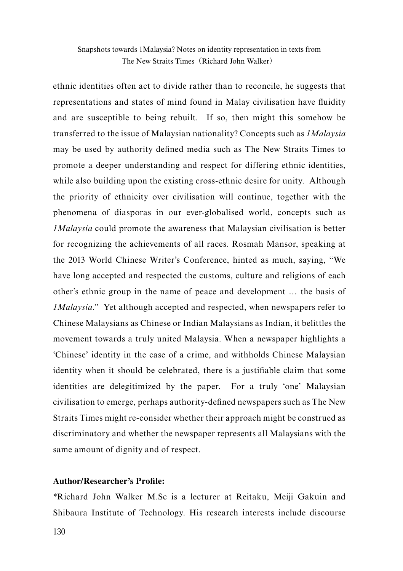ethnic identities often act to divide rather than to reconcile, he suggests that representations and states of mind found in Malay civilisation have fluidity and are susceptible to being rebuilt. If so, then might this somehow be transferred to the issue of Malaysian nationality? Concepts such as *1Malaysia* may be used by authority defined media such as The New Straits Times to promote a deeper understanding and respect for differing ethnic identities, while also building upon the existing cross-ethnic desire for unity. Although the priority of ethnicity over civilisation will continue, together with the phenomena of diasporas in our ever-globalised world, concepts such as *1Malaysia* could promote the awareness that Malaysian civilisation is better for recognizing the achievements of all races. Rosmah Mansor, speaking at the 2013 World Chinese Writer's Conference, hinted as much, saying, "We have long accepted and respected the customs, culture and religions of each other's ethnic group in the name of peace and development … the basis of *1Malaysia*." Yet although accepted and respected, when newspapers refer to Chinese Malaysians as Chinese or Indian Malaysians as Indian, it belittles the movement towards a truly united Malaysia. When a newspaper highlights a 'Chinese' identity in the case of a crime, and withholds Chinese Malaysian identity when it should be celebrated, there is a justifiable claim that some identities are delegitimized by the paper. For a truly 'one' Malaysian civilisation to emerge, perhaps authority-defined newspapers such as The New Straits Times might re-consider whether their approach might be construed as discriminatory and whether the newspaper represents all Malaysians with the same amount of dignity and of respect.

## **Author/Researcher's Profile:**

\*Richard John Walker M.Sc is a lecturer at Reitaku, Meiji Gakuin and Shibaura Institute of Technology. His research interests include discourse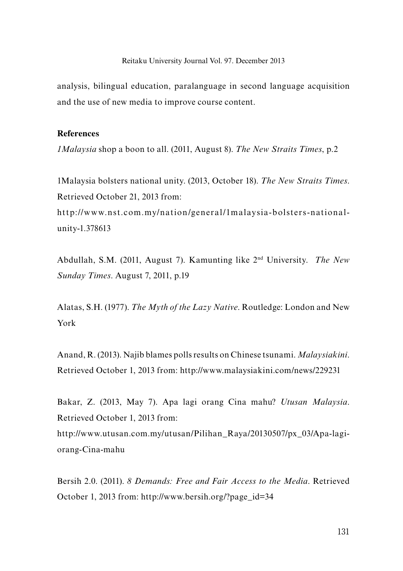analysis, bilingual education, paralanguage in second language acquisition and the use of new media to improve course content.

## **References**

*1Malaysia* shop a boon to all. (2011, August 8). *The New Straits Times*, p.2

1Malaysia bolsters national unity. (2013, October 18). *The New Straits Times*. Retrieved October 21, 2013 from:

http://www.nst.com.my/nation/general/1malaysia-bolsters-nationalunity-1.378613

Abdullah, S.M. (2011, August 7). Kamunting like 2nd University. *The New Sunday Times*. August 7, 2011, p.19

Alatas, S.H. (1977). *The Myth of the Lazy Native*. Routledge: London and New York

Anand, R. (2013). Najib blames polls results on Chinese tsunami. *Malaysiakini*. Retrieved October 1, 2013 from: http://www.malaysiakini.com/news/229231

Bakar, Z. (2013, May 7). Apa lagi orang Cina mahu? *Utusan Malaysia*. Retrieved October 1, 2013 from: http://www.utusan.com.my/utusan/Pilihan\_Raya/20130507/px\_03/Apa-lagiorang-Cina-mahu

Bersih 2.0. (2011). *8 Demands: Free and Fair Access to the Media*. Retrieved October 1, 2013 from: http://www.bersih.org/?page\_id=34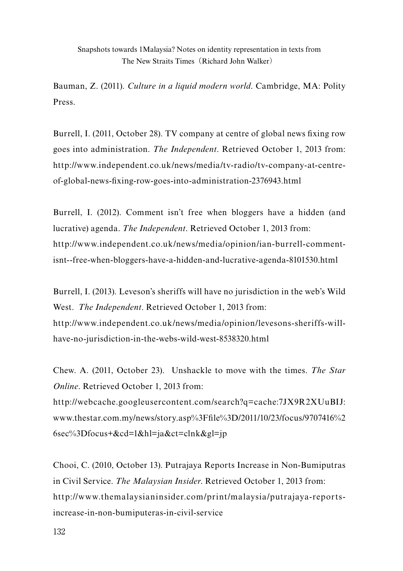Bauman, Z. (2011). *Culture in a liquid modern world*. Cambridge, MA: Polity Press.

Burrell, I. (2011, October 28). TV company at centre of global news fixing row goes into administration. *The Independent*. Retrieved October 1, 2013 from: http://www.independent.co.uk/news/media/tv-radio/tv-company-at-centreof-global-news-fixing-row-goes-into-administration-2376943.html

Burrell, I. (2012). Comment isn't free when bloggers have a hidden (and lucrative) agenda. *The Independent*. Retrieved October 1, 2013 from: http://www.independent.co.uk/news/media/opinion/ian-burrell-commentisnt--free-when-bloggers-have-a-hidden-and-lucrative-agenda-8101530.html

Burrell, I. (2013). Leveson's sheriffs will have no jurisdiction in the web's Wild West. *The Independent*. Retrieved October 1, 2013 from: http://www.independent.co.uk/news/media/opinion/levesons-sheriffs-willhave-no-jurisdiction-in-the-webs-wild-west-8538320.html

Chew. A. (2011, October 23). Unshackle to move with the times. *The Star Online*. Retrieved October 1, 2013 from:

http://webcache.googleusercontent.com/search?q=cache:7JX9R2XUuBIJ: www.thestar.com.my/news/story.asp%3Ffile%3D/2011/10/23/focus/9707416%2 6sec%3Dfocus+&cd=1&hl=ja&ct=clnk&gl=jp

Chooi, C. (2010, October 13). Putrajaya Reports Increase in Non-Bumiputras in Civil Service. *The Malaysian Insider*. Retrieved October 1, 2013 from: http://www.themalaysianinsider.com/print/malaysia/putrajaya-reportsincrease-in-non-bumiputeras-in-civil-service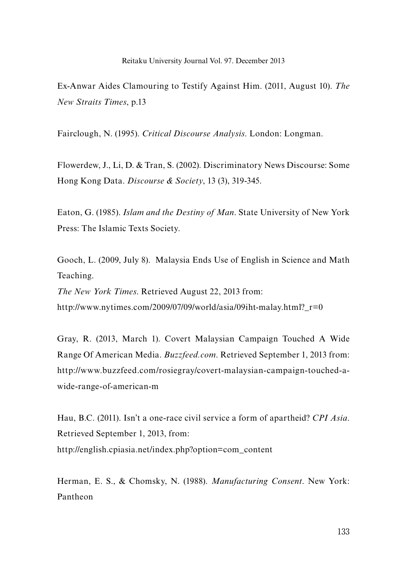Ex-Anwar Aides Clamouring to Testify Against Him. (2011, August 10). *The New Straits Times*, p.13

Fairclough, N. (1995). *Critical Discourse Analysis*. London: Longman.

Flowerdew, J., Li, D. & Tran, S. (2002). Discriminatory News Discourse: Some Hong Kong Data. *Discourse & Society*, 13 (3), 319-345.

Eaton, G. (1985). *Islam and the Destiny of Man*. State University of New York Press: The Islamic Texts Society.

Gooch, L. (2009, July 8). Malaysia Ends Use of English in Science and Math Teaching.

*The New York Times*. Retrieved August 22, 2013 from:

http://www.nytimes.com/2009/07/09/world/asia/09iht-malay.html? $r=0$ 

Gray, R. (2013, March 1). Covert Malaysian Campaign Touched A Wide Range Of American Media. *Buzzfeed.com*. Retrieved September 1, 2013 from: http://www.buzzfeed.com/rosiegray/covert-malaysian-campaign-touched-awide-range-of-american-m

Hau, B.C. (2011). Isn't a one-race civil service a form of apartheid? *CPI Asia*. Retrieved September 1, 2013, from: http://english.cpiasia.net/index.php?option=com\_content

Herman, E. S., & Chomsky, N. (1988). *Manufacturing Consent*. New York: Pantheon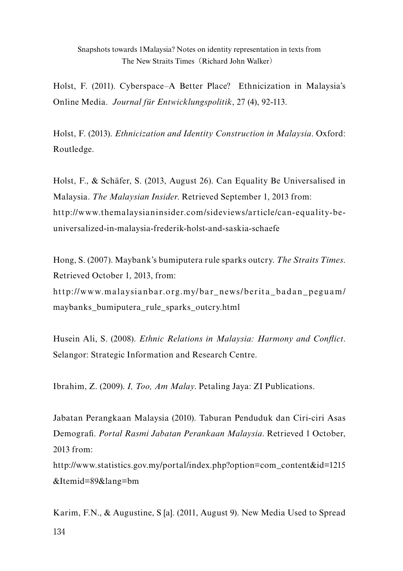Holst, F. (2011). Cyberspace–A Better Place? Ethnicization in Malaysia's Online Media. *Journal für Entwicklungspolitik*, 27 (4), 92-113.

Holst, F. (2013). *Ethnicization and Identity Construction in Malaysia*. Oxford: Routledge.

Holst, F., & Schäfer, S. (2013, August 26). Can Equality Be Universalised in Malaysia. *The Malaysian Insider*. Retrieved September 1, 2013 from: http://www.themalaysianinsider.com/sideviews/article/can-equality-beuniversalized-in-malaysia-frederik-holst-and-saskia-schaefe

Hong, S. (2007). Maybank's bumiputera rule sparks outcry. *The Straits Times*. Retrieved October 1, 2013, from: http://www.malaysianbar.org.my/bar\_news/berita\_badan\_peguam/ maybanks\_bumiputera\_rule\_sparks\_outcry.html

Husein Ali, S. (2008). *Ethnic Relations in Malaysia: Harmony and Conflict*. Selangor: Strategic Information and Research Centre.

Ibrahim, Z. (2009). *I, Too, Am Malay*. Petaling Jaya: ZI Publications.

Jabatan Perangkaan Malaysia (2010). Taburan Penduduk dan Ciri-ciri Asas Demografi. *Portal Rasmi Jabatan Perankaan Malaysia*. Retrieved 1 October, 2013 from:

http://www.statistics.gov.my/portal/index.php?option=com\_content&id=1215 &Itemid=89&lang=bm

134 Karim, F.N., & Augustine, S [a]. (2011, August 9). New Media Used to Spread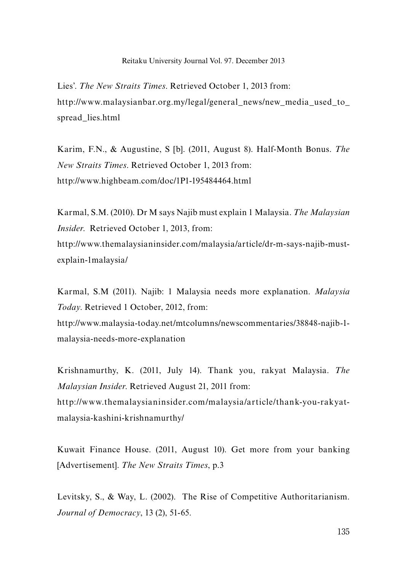#### Reitaku University Journal Vol. 97. December 2013

Lies'. *The New Straits Times*. Retrieved October 1, 2013 from: http://www.malaysianbar.org.my/legal/general\_news/new\_media\_used\_to spread\_lies.html

Karim, F.N., & Augustine, S [b]. (2011, August 8). Half-Month Bonus. *The New Straits Times*. Retrieved October 1, 2013 from: http://www.highbeam.com/doc/1P1-195484464.html

Karmal, S.M. (2010). Dr M says Najib must explain 1 Malaysia. *The Malaysian Insider*. Retrieved October 1, 2013, from: http://www.themalaysianinsider.com/malaysia/article/dr-m-says-najib-mustexplain-1malaysia/

Karmal, S.M (2011). Najib: 1 Malaysia needs more explanation. *Malaysia Today*. Retrieved 1 October, 2012, from:

http://www.malaysia-today.net/mtcolumns/newscommentaries/38848-najib-1 malaysia-needs-more-explanation

Krishnamurthy, K. (2011, July 14). Thank you, rakyat Malaysia. *The Malaysian Insider*. Retrieved August 21, 2011 from: http://www.themalaysianinsider.com/malaysia/article/thank-you-rakyatmalaysia-kashini-krishnamurthy/

Kuwait Finance House. (2011, August 10). Get more from your banking [Advertisement]. *The New Straits Times*, p.3

Levitsky, S., & Way, L. (2002). The Rise of Competitive Authoritarianism. *Journal of Democracy*, 13 (2), 51-65.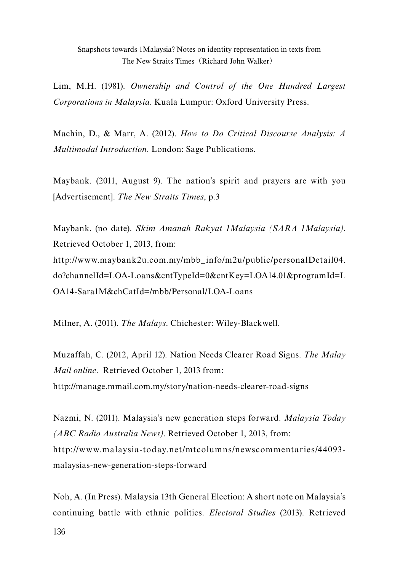Lim, M.H. (1981). *Ownership and Control of the One Hundred Largest Corporations in Malaysia*. Kuala Lumpur: Oxford University Press.

Machin, D., & Marr, A. (2012). *How to Do Critical Discourse Analysis: A Multimodal Introduction*. London: Sage Publications.

Maybank. (2011, August 9). The nation's spirit and prayers are with you [Advertisement]. *The New Straits Times*, p.3

Maybank. (no date). *Skim Amanah Rakyat 1Malaysia (SARA 1Malaysia)*. Retrieved October 1, 2013, from: http://www.maybank2u.com.my/mbb\_info/m2u/public/personalDetail04. do?channelId=LOA-Loans&cntTypeId=0&cntKey=LOA14.01&programId=L OA14-Sara1M&chCatId=/mbb/Personal/LOA-Loans

Milner, A. (2011). *The Malays*. Chichester: Wiley-Blackwell.

Muzaffah, C. (2012, April 12). Nation Needs Clearer Road Signs. *The Malay Mail online*. Retrieved October 1, 2013 from: http://manage.mmail.com.my/story/nation-needs-clearer-road-signs

Nazmi, N. (2011). Malaysia's new generation steps forward. *Malaysia Today (ABC Radio Australia News)*. Retrieved October 1, 2013, from: http://www.malaysia-today.net/mtcolumns/newscommentaries/44093 malaysias-new-generation-steps-forward

Noh, A. (In Press). Malaysia 13th General Election: A short note on Malaysia's continuing battle with ethnic politics. *Electoral Studies* (2013). Retrieved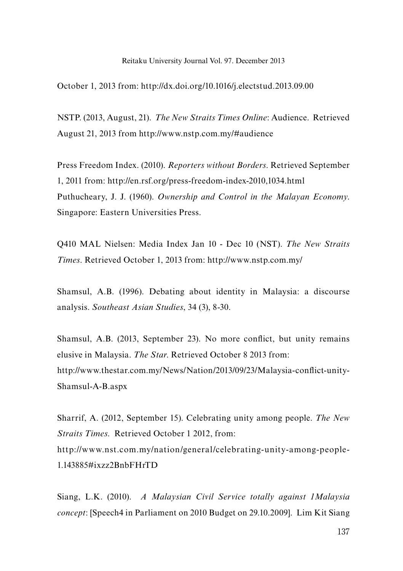#### Reitaku University Journal Vol. 97. December 2013

October 1, 2013 from: http://dx.doi.org/10.1016/j.electstud.2013.09.00

NSTP. (2013, August, 21). *The New Straits Times Online*: Audience. Retrieved August 21, 2013 from http://www.nstp.com.my/#audience

Press Freedom Index. (2010). *Reporters without Borders*. Retrieved September 1, 2011 from: http://en.rsf.org/press-freedom-index-2010,1034.html Puthucheary, J. J. (1960). *Ownership and Control in the Malayan Economy*. Singapore: Eastern Universities Press.

Q410 MAL Nielsen: Media Index Jan 10 - Dec 10 (NST). *The New Straits Times*. Retrieved October 1, 2013 from: http://www.nstp.com.my/

Shamsul, A.B. (1996). Debating about identity in Malaysia: a discourse analysis. *Southeast Asian Studies*, 34 (3), 8-30.

Shamsul, A.B. (2013, September 23). No more conflict, but unity remains elusive in Malaysia. *The Star*. Retrieved October 8 2013 from: http://www.thestar.com.my/News/Nation/2013/09/23/Malaysia-conflict-unity-Shamsul-A-B.aspx

Sharrif, A. (2012, September 15). Celebrating unity among people. *The New Straits Times*. Retrieved October 1 2012, from: http://www.nst.com.my/nation/general/celebrating-unity-among-people-1.143885#ixzz2BnbFHrTD

Siang, L.K. (2010). *A Malaysian Civil Service totally against 1Malaysia concept*: [Speech4 in Parliament on 2010 Budget on 29.10.2009]. Lim Kit Siang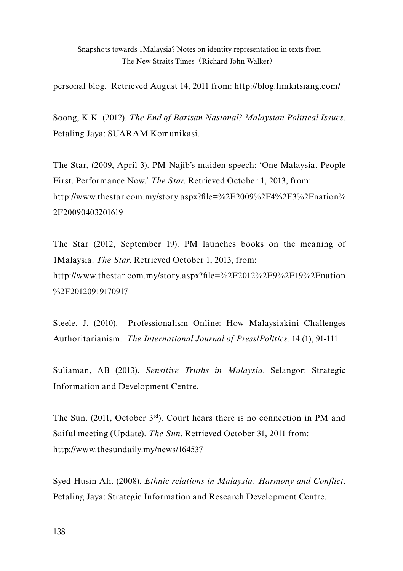personal blog. Retrieved August 14, 2011 from: http://blog.limkitsiang.com/

Soong, K.K. (2012). *The End of Barisan Nasional? Malaysian Political Issues*. Petaling Jaya: SUARAM Komunikasi.

The Star, (2009, April 3). PM Najib's maiden speech: 'One Malaysia. People First. Performance Now.' *The Star*. Retrieved October 1, 2013, from: http://www.thestar.com.my/story.aspx?file=%2F2009%2F4%2F3%2Fnation% 2F20090403201619

The Star (2012, September 19). PM launches books on the meaning of 1Malaysia. *The Star*. Retrieved October 1, 2013, from: http://www.thestar.com.my/story.aspx?file=%2F2012%2F9%2F19%2Fnation %2F20120919170917

Steele, J. (2010). Professionalism Online: How Malaysiakini Challenges Authoritarianism. *The International Journal of Press/Politics*. 14 (1), 91-111

Suliaman, AB (2013). *Sensitive Truths in Malaysia*. Selangor: Strategic Information and Development Centre.

The Sun. (2011, October 3rd). Court hears there is no connection in PM and Saiful meeting (Update). *The Sun*. Retrieved October 31, 2011 from: http://www.thesundaily.my/news/164537

Syed Husin Ali. (2008). *Ethnic relations in Malaysia: Harmony and Conflict*. Petaling Jaya: Strategic Information and Research Development Centre.